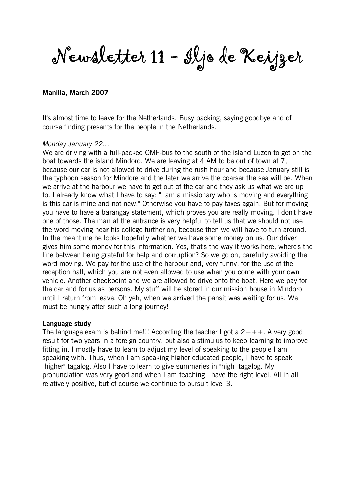Newsletter 11 - Iljo de Keijzer

### Manilla, March 2007

It's almost time to leave for the Netherlands. Busy packing, saying goodbye and of course finding presents for the people in the Netherlands.

#### Monday January 22...

We are driving with a full-packed OMF-bus to the south of the island Luzon to get on the boat towards the island Mindoro. We are leaving at 4 AM to be out of town at 7, because our car is not allowed to drive during the rush hour and because January still is the typhoon season for Mindore and the later we arrive the coarser the sea will be. When we arrive at the harbour we have to get out of the car and they ask us what we are up to. I already know what I have to say: "I am a missionary who is moving and everything is this car is mine and not new." Otherwise you have to pay taxes again. But for moving you have to have a barangay statement, which proves you are really moving. I don't have one of those. The man at the entrance is very helpful to tell us that we should not use the word moving near his college further on, because then we will have to turn around. In the meantime he looks hopefully whether we have some money on us. Our driver gives him some money for this information. Yes, that's the way it works here, where's the line between being grateful for help and corruption? So we go on, carefully avoiding the word moving. We pay for the use of the harbour and, very funny, for the use of the reception hall, which you are not even allowed to use when you come with your own vehicle. Another checkpoint and we are allowed to drive onto the boat. Here we pay for the car and for us as persons. My stuff will be stored in our mission house in Mindoro until I return from leave. Oh yeh, when we arrived the pansit was waiting for us. We must be hungry after such a long journey!

#### Language study

The language exam is behind me!!! According the teacher I got a  $2+++$ . A very good result for two years in a foreign country, but also a stimulus to keep learning to improve fitting in. I mostly have to learn to adjust my level of speaking to the people I am speaking with. Thus, when I am speaking higher educated people, I have to speak "higher" tagalog. Also I have to learn to give summaries in "high" tagalog. My pronunciation was very good and when I am teaching I have the right level. All in all relatively positive, but of course we continue to pursuit level 3.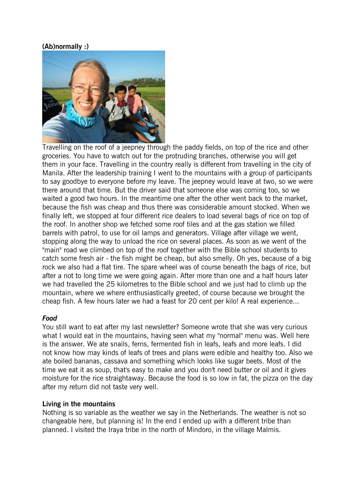# (Ab)normally :)



Travelling on the roof of a jeepney through the paddy fields, on top of the rice and other groceries. You have to watch out for the protruding branches, otherwise you will get them in your face. Travelling in the country really is different from travelling in the city of Manila. After the leadership training I went to the mountains with a group of participants to say goodbye to everyone before my leave. The jeepney would leave at two, so we were there around that time. But the driver said that someone else was coming too, so we waited a good two hours. In the meantime one after the other went back to the market, because the fish was cheap and thus there was considerable amount stocked. When we finally left, we stopped at four different rice dealers to load several bags of rice on top of the roof. In another shop we fetched some roof tiles and at the gas station we filled barrels with patrol, to use for oil lamps and generators. Village after village we went, stopping along the way to unload the rice on several places. As soon as we went of the "main" road we climbed on top of the roof together with the Bible school students to catch some fresh air - the fish might be cheap, but also smelly. Oh yes, because of a big rock we also had a flat tire. The spare wheel was of course beneath the bags of rice, but after a not to long time we were going again. After more than one and a half hours later we had travelled the 25 kilometres to the Bible school and we just had to climb up the mountain, where we where enthusiastically greeted, of course because we brought the cheap fish. A few hours later we had a feast for 20 cent per kilo! A real experience...

#### Food

You still want to eat after my last newsletter? Someone wrote that she was very curious what I would eat in the mountains, having seen what my "normal" menu was. Well here is the answer. We ate snails, ferns, fermented fish in leafs, leafs and more leafs. I did not know how may kinds of leafs of trees and plans were edible and healthy too. Also we ate boiled bananas, cassava and something which looks like sugar beets. Most of the time we eat it as soup, that's easy to make and you don't need butter or oil and it gives moisture for the rice straightaway. Because the food is so low in fat, the pizza on the day after my return did not taste very well.

#### Living in the mountains

Nothing is so variable as the weather we say in the Netherlands. The weather is not so changeable here, but planning is! In the end I ended up with a different tribe than planned. I visited the Iraya tribe in the north of Mindoro, in the village Malmis.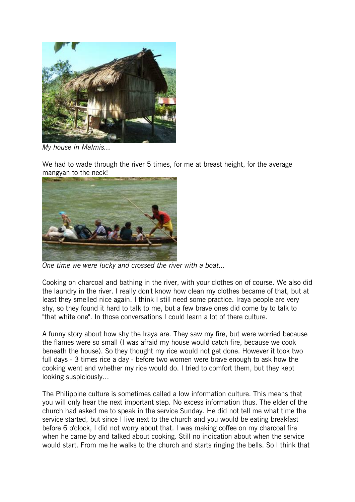

My house in Malmis...

We had to wade through the river 5 times, for me at breast height, for the average mangyan to the neck!



One time we were lucky and crossed the river with a boat...

Cooking on charcoal and bathing in the river, with your clothes on of course. We also did the laundry in the river. I really don't know how clean my clothes became of that, but at least they smelled nice again. I think I still need some practice. Iraya people are very shy, so they found it hard to talk to me, but a few brave ones did come by to talk to "that white one". In those conversations I could learn a lot of there culture.

A funny story about how shy the Iraya are. They saw my fire, but were worried because the flames were so small (I was afraid my house would catch fire, because we cook beneath the house). So they thought my rice would not get done. However it took two full days - 3 times rice a day - before two women were brave enough to ask how the cooking went and whether my rice would do. I tried to comfort them, but they kept looking suspiciously...

The Philippine culture is sometimes called a low information culture. This means that you will only hear the next important step. No excess information thus. The elder of the church had asked me to speak in the service Sunday. He did not tell me what time the service started, but since I live next to the church and you would be eating breakfast before 6 o'clock, I did not worry about that. I was making coffee on my charcoal fire when he came by and talked about cooking. Still no indication about when the service would start. From me he walks to the church and starts ringing the bells. So I think that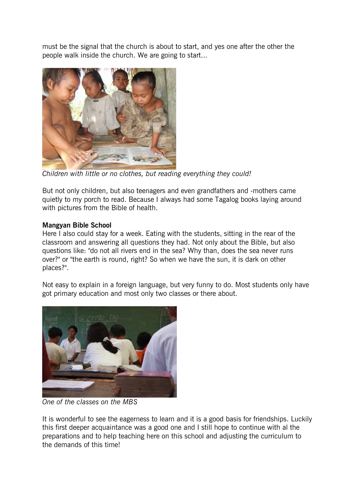must be the signal that the church is about to start, and yes one after the other the people walk inside the church. We are going to start...



Children with little or no clothes, but reading everything they could!

But not only children, but also teenagers and even grandfathers and -mothers came quietly to my porch to read. Because I always had some Tagalog books laying around with pictures from the Bible of health.

# Mangyan Bible School

Here I also could stay for a week. Eating with the students, sitting in the rear of the classroom and answering all questions they had. Not only about the Bible, but also questions like: "do not all rivers end in the sea? Why than, does the sea never runs over?" or "the earth is round, right? So when we have the sun, it is dark on other places?".

Not easy to explain in a foreign language, but very funny to do. Most students only have got primary education and most only two classes or there about.



One of the classes on the MBS

It is wonderful to see the eagerness to learn and it is a good basis for friendships. Luckily this first deeper acquaintance was a good one and I still hope to continue with al the preparations and to help teaching here on this school and adjusting the curriculum to the demands of this time!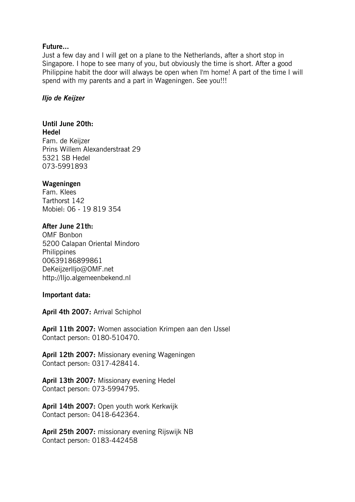### Future...

Just a few day and I will get on a plane to the Netherlands, after a short stop in Singapore. I hope to see many of you, but obviously the time is short. After a good Philippine habit the door will always be open when I'm home! A part of the time I will spend with my parents and a part in Wageningen. See you!!!

### Iljo de Keijzer

# Until June 20th:

Hedel Fam. de Keijzer Prins Willem Alexanderstraat 29 5321 SB Hedel 073-5991893

# Wageningen

Fam. Klees Tarthorst 142 Mobiel: 06 - 19 819 354

# After June 21th:

OMF Bonbon 5200 Calapan Oriental Mindoro **Philippines** 00639186899861 DeKeijzerIljo@OMF.net http://Iljo.algemeenbekend.nl

#### Important data:

April 4th 2007: Arrival Schiphol

April 11th 2007: Women association Krimpen aan den IJssel Contact person: 0180-510470.

April 12th 2007: Missionary evening Wageningen Contact person: 0317-428414.

April 13th 2007: Missionary evening Hedel Contact person: 073-5994795.

April 14th 2007: Open youth work Kerkwijk Contact person: 0418-642364.

April 25th 2007: missionary evening Rijswijk NB Contact person: 0183-442458